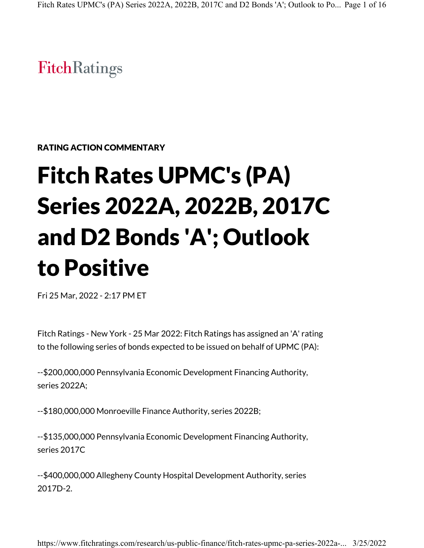# **FitchRatings**

RATING ACTION COMMENTARY

# Fitch Rates UPMC's (PA) Series 2022A, 2022B, 2017C and D2 Bonds 'A'; Outlook to Positive

Fri 25 Mar, 2022 - 2:17 PM ET

Fitch Ratings - New York - 25 Mar 2022: Fitch Ratings has assigned an 'A' rating to the following series of bonds expected to be issued on behalf of UPMC (PA):

--\$200,000,000 Pennsylvania Economic Development Financing Authority, series 2022A;

--\$180,000,000 Monroeville Finance Authority, series 2022B;

--\$135,000,000 Pennsylvania Economic Development Financing Authority, series 2017C

--\$400,000,000 Allegheny County Hospital Development Authority, series 2017D-2.

https://www.fitchratings.com/research/us-public-finance/fitch-rates-upmc-pa-series-2022a-... 3/25/2022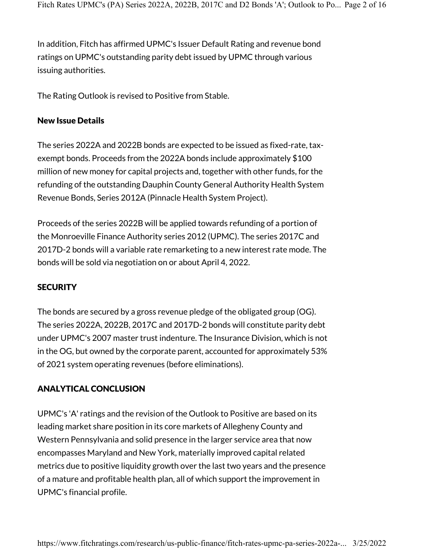In addition, Fitch has affirmed UPMC's Issuer Default Rating and revenue bond ratings on UPMC's outstanding parity debt issued by UPMC through various issuing authorities.

The Rating Outlook is revised to Positive from Stable.

# New Issue Details

The series 2022A and 2022B bonds are expected to be issued as fixed-rate, taxexempt bonds. Proceeds from the 2022A bonds include approximately \$100 million of new money for capital projects and, together with other funds, for the refunding of the outstanding Dauphin County General Authority Health System Revenue Bonds, Series 2012A (Pinnacle Health System Project).

Proceeds of the series 2022B will be applied towards refunding of a portion of the Monroeville Finance Authority series 2012 (UPMC). The series 2017C and 2017D-2 bonds will a variable rate remarketing to a new interest rate mode. The bonds will be sold via negotiation on or about April 4, 2022.

# **SECURITY**

The bonds are secured by a gross revenue pledge of the obligated group (OG). The series 2022A, 2022B, 2017C and 2017D-2 bonds will constitute parity debt under UPMC's 2007 master trust indenture. The Insurance Division, which is not in the OG, but owned by the corporate parent, accounted for approximately 53% of 2021 system operating revenues (before eliminations).

# ANALYTICAL CONCLUSION

UPMC's 'A' ratings and the revision of the Outlook to Positive are based on its leading market share position in its core markets of Allegheny County and Western Pennsylvania and solid presence in the larger service area that now encompasses Maryland and New York, materially improved capital related metrics due to positive liquidity growth over the last two years and the presence of a mature and profitable health plan, all of which support the improvement in UPMC's financial profile.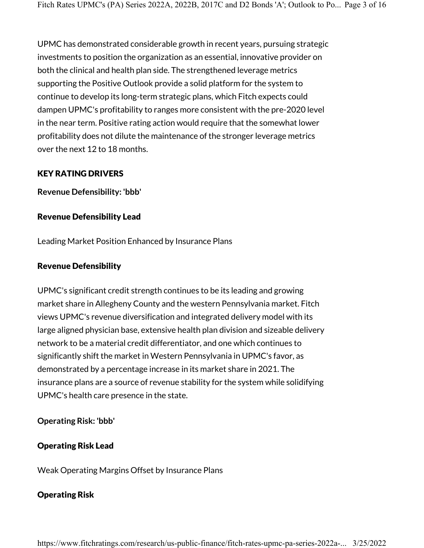UPMC has demonstrated considerable growth in recent years, pursuing strategic investments to position the organization as an essential, innovative provider on both the clinical and health plan side. The strengthened leverage metrics supporting the Positive Outlook provide a solid platform for the system to continue to develop its long-term strategic plans, which Fitch expects could dampen UPMC's profitability to ranges more consistent with the pre-2020 level in the near term. Positive rating action would require that the somewhat lower profitability does not dilute the maintenance of the stronger leverage metrics over the next 12 to 18 months.

#### KEY RATING DRIVERS

**Revenue Defensibility: 'bbb'**

# Revenue Defensibility Lead

Leading Market Position Enhanced by Insurance Plans

# Revenue Defensibility

UPMC's significant credit strength continues to be its leading and growing market share in Allegheny County and the western Pennsylvania market. Fitch views UPMC's revenue diversification and integrated delivery model with its large aligned physician base, extensive health plan division and sizeable delivery network to be a material credit differentiator, and one which continues to significantly shift the market in Western Pennsylvania in UPMC's favor, as demonstrated by a percentage increase in its market share in 2021. The insurance plans are a source of revenue stability for the system while solidifying UPMC's health care presence in the state.

# **Operating Risk: 'bbb'**

# Operating Risk Lead

Weak Operating Margins Offset by Insurance Plans

# Operating Risk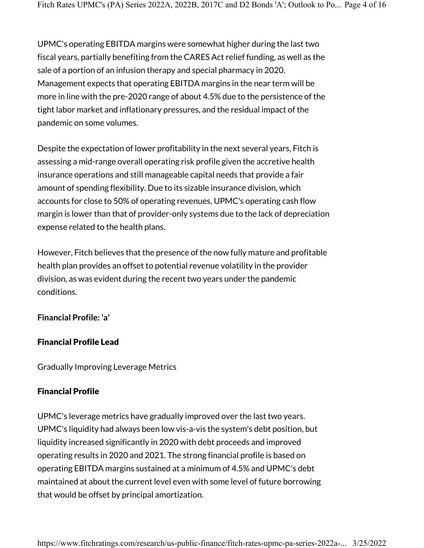UPMC's operating EBITDA margins were somewhat higher during the last two fiscal years, partially benefiting from the CARES Act relief funding, as well as the sale of a portion of an infusion therapy and special pharmacy in 2020. Management expects that operating EBITDA margins in the near term will be more in line with the pre-2020 range of about 4.5% due to the persistence of the tight labor market and inflationary pressures, and the residual impact of the pandemic on some volumes.

Despite the expectation of lower profitability in the next several years, Fitch is assessing a mid-range overall operating risk profile given the accretive health insurance operations and still manageable capital needs that provide a fair amount of spending flexibility. Due to its sizable insurance division, which accounts for close to 50% of operating revenues, UPMC's operating cash flow margin is lower than that of provider-only systems due to the lack of depreciation expense related to the health plans.

However, Fitch believes that the presence of the now fully mature and profitable health plan provides an offset to potential revenue volatility in the provider division, as was evident during the recent two years under the pandemic conditions.

#### **Financial Profile: 'a'**

# Financial Profile Lead

Gradually Improving Leverage Metrics

# Financial Profile

UPMC's leverage metrics have gradually improved over the last two years. UPMC's liquidity had always been low vis-a-vis the system's debt position, but liquidity increased significantly in 2020 with debt proceeds and improved operating results in 2020 and 2021. The strong financial profile is based on operating EBITDA margins sustained at a minimum of 4.5% and UPMC's debt maintained at about the current level even with some level of future borrowing that would be offset by principal amortization.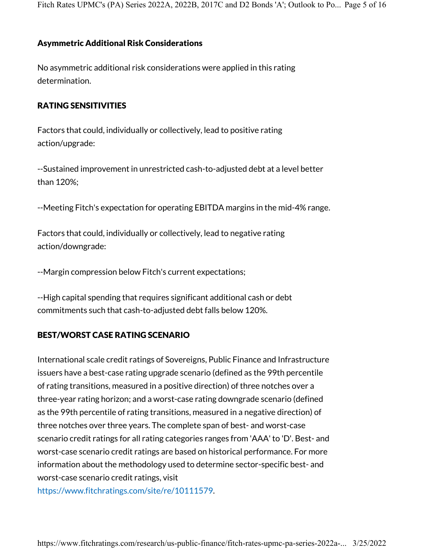Fitch Rates UPMC's (PA) Series 2022A, 2022B, 2017C and D2 Bonds 'A'; Outlook to Po... Page 5 of 16

#### Asymmetric Additional Risk Considerations

No asymmetric additional risk considerations were applied in this rating determination.

#### RATING SENSITIVITIES

Factors that could, individually or collectively, lead to positive rating action/upgrade:

--Sustained improvement in unrestricted cash-to-adjusted debt at a level better than 120%;

--Meeting Fitch's expectation for operating EBITDA margins in the mid-4% range.

Factors that could, individually or collectively, lead to negative rating action/downgrade:

--Margin compression below Fitch's current expectations;

--High capital spending that requires significant additional cash or debt commitments such that cash-to-adjusted debt falls below 120%.

#### BEST/WORST CASE RATING SCENARIO

International scale credit ratings of Sovereigns, Public Finance and Infrastructure issuers have a best-case rating upgrade scenario (defined as the 99th percentile of rating transitions, measured in a positive direction) of three notches over a three-year rating horizon; and a worst-case rating downgrade scenario (defined as the 99th percentile of rating transitions, measured in a negative direction) of three notches over three years. The complete span of best- and worst-case scenario credit ratings for all rating categories ranges from 'AAA' to 'D'. Best- and worst-case scenario credit ratings are based on historical performance. For more information about the methodology used to determine sector-specific best- and worst-case scenario credit ratings, visit

https://www.fitchratings.com/site/re/10111579.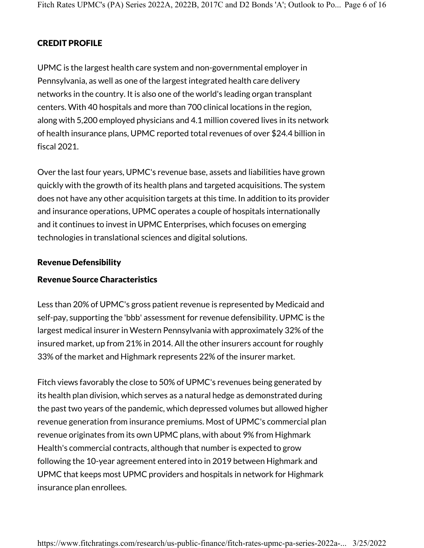# CREDIT PROFILE

UPMC is the largest health care system and non-governmental employer in Pennsylvania, as well as one of the largest integrated health care delivery networks in the country. It is also one of the world's leading organ transplant centers. With 40 hospitals and more than 700 clinical locations in the region, along with 5,200 employed physicians and 4.1 million covered lives in its network of health insurance plans, UPMC reported total revenues of over \$24.4 billion in fiscal 2021.

Over the last four years, UPMC's revenue base, assets and liabilities have grown quickly with the growth of its health plans and targeted acquisitions. The system does not have any other acquisition targets at this time. In addition to its provider and insurance operations, UPMC operates a couple of hospitals internationally and it continues to invest in UPMC Enterprises, which focuses on emerging technologies in translational sciences and digital solutions.

# Revenue Defensibility

# Revenue Source Characteristics

Less than 20% of UPMC's gross patient revenue is represented by Medicaid and self-pay, supporting the 'bbb' assessment for revenue defensibility. UPMC is the largest medical insurer in Western Pennsylvania with approximately 32% of the insured market, up from 21% in 2014. All the other insurers account for roughly 33% of the market and Highmark represents 22% of the insurer market.

Fitch views favorably the close to 50% of UPMC's revenues being generated by its health plan division, which serves as a natural hedge as demonstrated during the past two years of the pandemic, which depressed volumes but allowed higher revenue generation from insurance premiums. Most of UPMC's commercial plan revenue originates from its own UPMC plans, with about 9% from Highmark Health's commercial contracts, although that number is expected to grow following the 10-year agreement entered into in 2019 between Highmark and UPMC that keeps most UPMC providers and hospitals in network for Highmark insurance plan enrollees.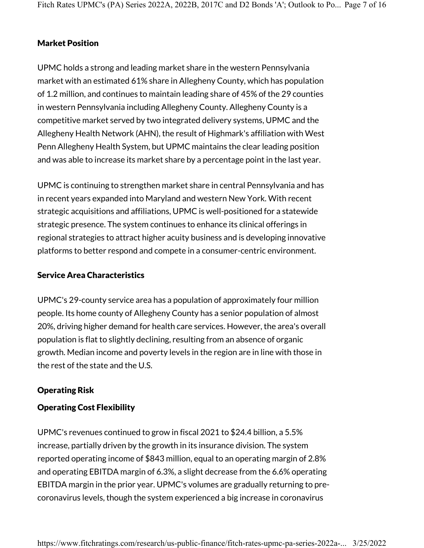# Market Position

UPMC holds a strong and leading market share in the western Pennsylvania market with an estimated 61% share in Allegheny County, which has population of 1.2 million, and continues to maintain leading share of 45% of the 29 counties in western Pennsylvania including Allegheny County. Allegheny County is a competitive market served by two integrated delivery systems, UPMC and the Allegheny Health Network (AHN), the result of Highmark's affiliation with West Penn Allegheny Health System, but UPMC maintains the clear leading position and was able to increase its market share by a percentage point in the last year.

UPMC is continuing to strengthen market share in central Pennsylvania and has in recent years expanded into Maryland and western New York. With recent strategic acquisitions and affiliations, UPMC is well-positioned for a statewide strategic presence. The system continues to enhance its clinical offerings in regional strategies to attract higher acuity business and is developing innovative platforms to better respond and compete in a consumer-centric environment.

#### Service Area Characteristics

UPMC's 29-county service area has a population of approximately four million people. Its home county of Allegheny County has a senior population of almost 20%, driving higher demand for health care services. However, the area's overall population is flat to slightly declining, resulting from an absence of organic growth. Median income and poverty levels in the region are in line with those in the rest of the state and the U.S.

# Operating Risk

# Operating Cost Flexibility

UPMC's revenues continued to grow in fiscal 2021 to \$24.4 billion, a 5.5% increase, partially driven by the growth in its insurance division. The system reported operating income of \$843 million, equal to an operating margin of 2.8% and operating EBITDA margin of 6.3%, a slight decrease from the 6.6% operating EBITDA margin in the prior year. UPMC's volumes are gradually returning to precoronavirus levels, though the system experienced a big increase in coronavirus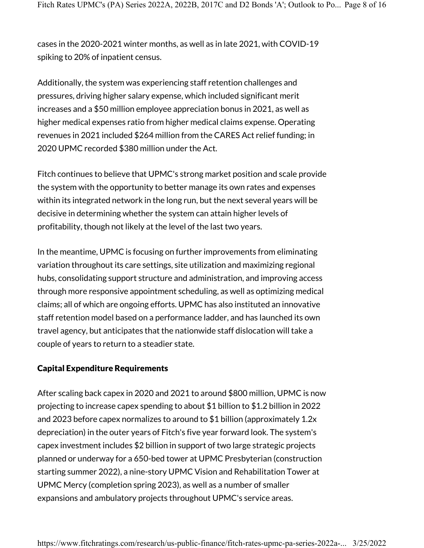cases in the 2020-2021 winter months, as well as in late 2021, with COVID-19 spiking to 20% of inpatient census.

Additionally, the system was experiencing staff retention challenges and pressures, driving higher salary expense, which included significant merit increases and a \$50 million employee appreciation bonus in 2021, as well as higher medical expenses ratio from higher medical claims expense. Operating revenues in 2021 included \$264 million from the CARES Act relief funding; in 2020 UPMC recorded \$380 million under the Act.

Fitch continues to believe that UPMC's strong market position and scale provide the system with the opportunity to better manage its own rates and expenses within its integrated network in the long run, but the next several years will be decisive in determining whether the system can attain higher levels of profitability, though not likely at the level of the last two years.

In the meantime, UPMC is focusing on further improvements from eliminating variation throughout its care settings, site utilization and maximizing regional hubs, consolidating support structure and administration, and improving access through more responsive appointment scheduling, as well as optimizing medical claims; all of which are ongoing efforts. UPMC has also instituted an innovative staff retention model based on a performance ladder, and has launched its own travel agency, but anticipates that the nationwide staff dislocation will take a couple of years to return to a steadier state.

#### Capital Expenditure Requirements

After scaling back capex in 2020 and 2021 to around \$800 million, UPMC is now projecting to increase capex spending to about \$1 billion to \$1.2 billion in 2022 and 2023 before capex normalizes to around to \$1 billion (approximately 1.2x depreciation) in the outer years of Fitch's five year forward look. The system's capex investment includes \$2 billion in support of two large strategic projects planned or underway for a 650-bed tower at UPMC Presbyterian (construction starting summer 2022), a nine-story UPMC Vision and Rehabilitation Tower at UPMC Mercy (completion spring 2023), as well as a number of smaller expansions and ambulatory projects throughout UPMC's service areas.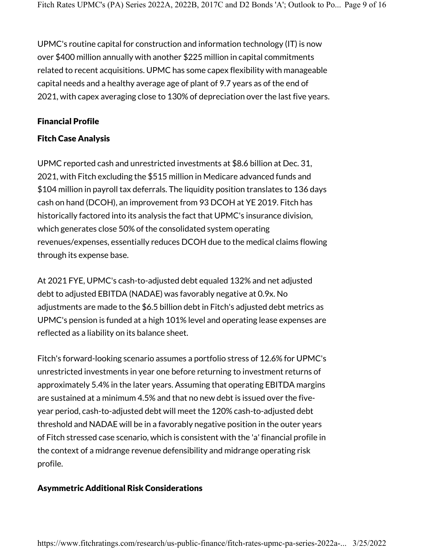UPMC's routine capital for construction and information technology (IT) is now over \$400 million annually with another \$225 million in capital commitments related to recent acquisitions. UPMC has some capex flexibility with manageable capital needs and a healthy average age of plant of 9.7 years as of the end of 2021, with capex averaging close to 130% of depreciation over the last five years.

#### Financial Profile

#### Fitch Case Analysis

UPMC reported cash and unrestricted investments at \$8.6 billion at Dec. 31, 2021, with Fitch excluding the \$515 million in Medicare advanced funds and \$104 million in payroll tax deferrals. The liquidity position translates to 136 days cash on hand (DCOH), an improvement from 93 DCOH at YE 2019. Fitch has historically factored into its analysis the fact that UPMC's insurance division, which generates close 50% of the consolidated system operating revenues/expenses, essentially reduces DCOH due to the medical claims flowing through its expense base.

At 2021 FYE, UPMC's cash-to-adjusted debt equaled 132% and net adjusted debt to adjusted EBITDA (NADAE) was favorably negative at 0.9x. No adjustments are made to the \$6.5 billion debt in Fitch's adjusted debt metrics as UPMC's pension is funded at a high 101% level and operating lease expenses are reflected as a liability on its balance sheet.

Fitch's forward-looking scenario assumes a portfolio stress of 12.6% for UPMC's unrestricted investments in year one before returning to investment returns of approximately 5.4% in the later years. Assuming that operating EBITDA margins are sustained at a minimum 4.5% and that no new debt is issued over the fiveyear period, cash-to-adjusted debt will meet the 120% cash-to-adjusted debt threshold and NADAE will be in a favorably negative position in the outer years of Fitch stressed case scenario, which is consistent with the 'a' financial profile in the context of a midrange revenue defensibility and midrange operating risk profile.

#### Asymmetric Additional Risk Considerations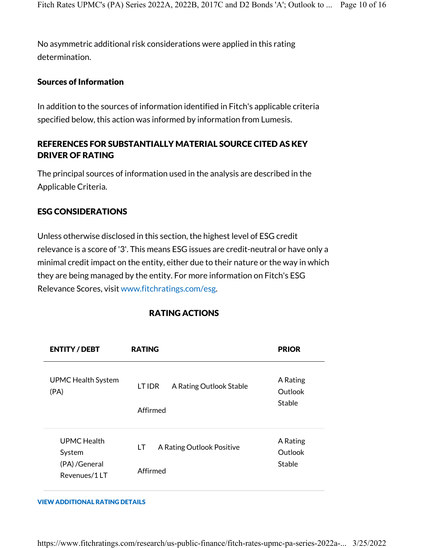No asymmetric additional risk considerations were applied in this rating determination.

#### Sources of Information

In addition to the sources of information identified in Fitch's applicable criteria specified below, this action was informed by information from Lumesis.

# REFERENCES FOR SUBSTANTIALLY MATERIAL SOURCE CITED AS KEY DRIVER OF RATING

The principal sources of information used in the analysis are described in the Applicable Criteria.

# ESG CONSIDERATIONS

Unless otherwise disclosed in this section, the highest level of ESG credit relevance is a score of '3'. This means ESG issues are credit-neutral or have only a minimal credit impact on the entity, either due to their nature or the way in which they are being managed by the entity. For more information on Fitch's ESG Relevance Scores, visit www.fitchratings.com/esg.

| <b>ENTITY/DEBT</b>                                      | <b>RATING</b>                                 | <b>PRIOR</b>                  |
|---------------------------------------------------------|-----------------------------------------------|-------------------------------|
| <b>UPMC Health System</b><br>(PA)                       | A Rating Outlook Stable<br>LT IDR<br>Affirmed | A Rating<br>Outlook<br>Stable |
| UPMC Health<br>System<br>(PA) / General<br>Revenues/1LT | A Rating Outlook Positive<br>LT<br>Affirmed   | A Rating<br>Outlook<br>Stable |

# RATING ACTIONS

#### VIEW ADDITIONAL RATING DETAILS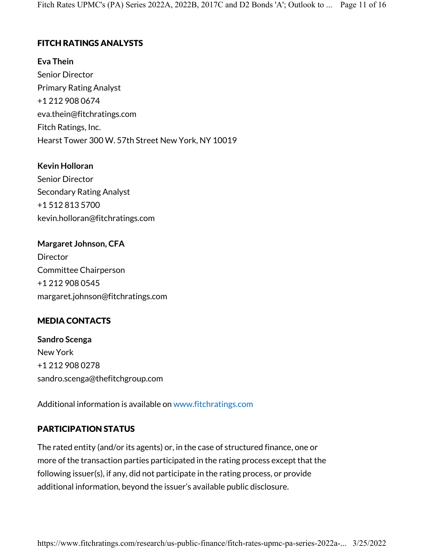# FITCH RATINGS ANALYSTS

**Eva Thein** Senior Director Primary Rating Analyst +1 212 908 0674 eva.thein@fitchratings.com Fitch Ratings, Inc. Hearst Tower 300 W. 57th Street New York, NY 10019

**Kevin Holloran** Senior Director Secondary Rating Analyst +1 512 813 5700 kevin.holloran@fitchratings.com

**Margaret Johnson, CFA** Director Committee Chairperson +1 212 908 0545 margaret.johnson@fitchratings.com

# MEDIA CONTACTS

**Sandro Scenga** New York +1 212 908 0278 sandro.scenga@thefitchgroup.com

Additional information is available on www.fitchratings.com

# PARTICIPATION STATUS

The rated entity (and/or its agents) or, in the case of structured finance, one or more of the transaction parties participated in the rating process except that the following issuer(s), if any, did not participate in the rating process, or provide additional information, beyond the issuer's available public disclosure.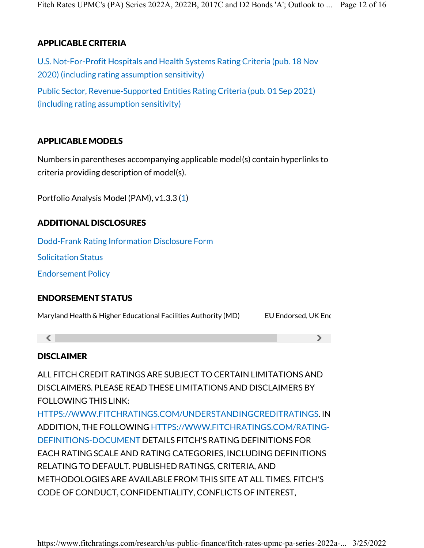# APPLICABLE CRITERIA

U.S. Not-For-Profit Hospitals and Health Systems Rating Criteria (pub. 18 Nov 2020) (including rating assumption sensitivity) Public Sector, Revenue-Supported Entities Rating Criteria (pub. 01 Sep 2021) (including rating assumption sensitivity)

# APPLICABLE MODELS

Numbers in parentheses accompanying applicable model(s) contain hyperlinks to criteria providing description of model(s).

Portfolio Analysis Model (PAM), v1.3.3 (1)

# ADDITIONAL DISCLOSURES

Dodd-Frank Rating Information Disclosure Form

Solicitation Status

Endorsement Policy

# ENDORSEMENT STATUS

Maryland Health & Higher Educational Facilities Authority (MD) EU Endorsed, UK End

 $\langle$  , and  $\rangle$ 

# DISCLAIMER

ALL FITCH CREDIT RATINGS ARE SUBJECT TO CERTAIN LIMITATIONS AND DISCLAIMERS. PLEASE READ THESE LIMITATIONS AND DISCLAIMERS BY FOLLOWING THIS LINK:

HTTPS://WWW.FITCHRATINGS.COM/UNDERSTANDINGCREDITRATINGS. IN ADDITION, THE FOLLOWING HTTPS://WWW.FITCHRATINGS.COM/RATING-DEFINITIONS-DOCUMENT DETAILS FITCH'S RATING DEFINITIONS FOR EACH RATING SCALE AND RATING CATEGORIES, INCLUDING DEFINITIONS RELATING TO DEFAULT. PUBLISHED RATINGS, CRITERIA, AND METHODOLOGIES ARE AVAILABLE FROM THIS SITE AT ALL TIMES. FITCH'S CODE OF CONDUCT, CONFIDENTIALITY, CONFLICTS OF INTEREST,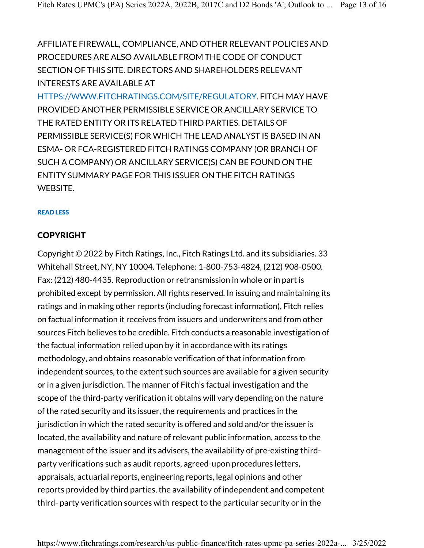AFFILIATE FIREWALL, COMPLIANCE, AND OTHER RELEVANT POLICIES AND PROCEDURES ARE ALSO AVAILABLE FROM THE CODE OF CONDUCT SECTION OF THIS SITE. DIRECTORS AND SHAREHOLDERS RELEVANT INTERESTS ARE AVAILABLE AT

HTTPS://WWW.FITCHRATINGS.COM/SITE/REGULATORY. FITCH MAY HAVE PROVIDED ANOTHER PERMISSIBLE SERVICE OR ANCILLARY SERVICE TO THE RATED ENTITY OR ITS RELATED THIRD PARTIES. DETAILS OF PERMISSIBLE SERVICE(S) FOR WHICH THE LEAD ANALYST IS BASED IN AN ESMA- OR FCA-REGISTERED FITCH RATINGS COMPANY (OR BRANCH OF SUCH A COMPANY) OR ANCILLARY SERVICE(S) CAN BE FOUND ON THE ENTITY SUMMARY PAGE FOR THIS ISSUER ON THE FITCH RATINGS WEBSITE.

#### READ LESS

# COPYRIGHT

Copyright © 2022 by Fitch Ratings, Inc., Fitch Ratings Ltd. and its subsidiaries. 33 Whitehall Street, NY, NY 10004. Telephone: 1-800-753-4824, (212) 908-0500. Fax: (212) 480-4435. Reproduction or retransmission in whole or in part is prohibited except by permission. All rights reserved. In issuing and maintaining its ratings and in making other reports (including forecast information), Fitch relies on factual information it receives from issuers and underwriters and from other sources Fitch believes to be credible. Fitch conducts a reasonable investigation of the factual information relied upon by it in accordance with its ratings methodology, and obtains reasonable verification of that information from independent sources, to the extent such sources are available for a given security or in a given jurisdiction. The manner of Fitch's factual investigation and the scope of the third-party verification it obtains will vary depending on the nature of the rated security and its issuer, the requirements and practices in the jurisdiction in which the rated security is offered and sold and/or the issuer is located, the availability and nature of relevant public information, access to the management of the issuer and its advisers, the availability of pre-existing thirdparty verifications such as audit reports, agreed-upon procedures letters, appraisals, actuarial reports, engineering reports, legal opinions and other reports provided by third parties, the availability of independent and competent third- party verification sources with respect to the particular security or in the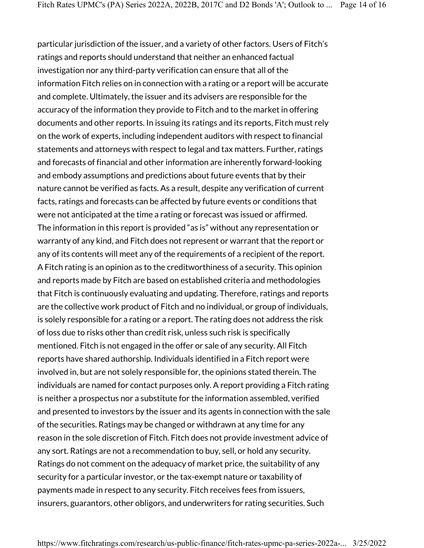particular jurisdiction of the issuer, and a variety of other factors. Users of Fitch's ratings and reports should understand that neither an enhanced factual investigation nor any third-party verification can ensure that all of the information Fitch relies on in connection with a rating or a report will be accurate and complete. Ultimately, the issuer and its advisers are responsible for the accuracy of the information they provide to Fitch and to the market in offering documents and other reports. In issuing its ratings and its reports, Fitch must rely on the work of experts, including independent auditors with respect to financial statements and attorneys with respect to legal and tax matters. Further, ratings and forecasts of financial and other information are inherently forward-looking and embody assumptions and predictions about future events that by their nature cannot be verified as facts. As a result, despite any verification of current facts, ratings and forecasts can be affected by future events or conditions that were not anticipated at the time a rating or forecast was issued or affirmed. The information in this report is provided "as is" without any representation or warranty of any kind, and Fitch does not represent or warrant that the report or any of its contents will meet any of the requirements of a recipient of the report. A Fitch rating is an opinion as to the creditworthiness of a security. This opinion and reports made by Fitch are based on established criteria and methodologies that Fitch is continuously evaluating and updating. Therefore, ratings and reports are the collective work product of Fitch and no individual, or group of individuals, is solely responsible for a rating or a report. The rating does not address the risk of loss due to risks other than credit risk, unless such risk is specifically mentioned. Fitch is not engaged in the offer or sale of any security. All Fitch reports have shared authorship. Individuals identified in a Fitch report were involved in, but are not solely responsible for, the opinions stated therein. The individuals are named for contact purposes only. A report providing a Fitch rating is neither a prospectus nor a substitute for the information assembled, verified and presented to investors by the issuer and its agents in connection with the sale of the securities. Ratings may be changed or withdrawn at any time for any reason in the sole discretion of Fitch. Fitch does not provide investment advice of any sort. Ratings are not a recommendation to buy, sell, or hold any security. Ratings do not comment on the adequacy of market price, the suitability of any security for a particular investor, or the tax-exempt nature or taxability of payments made in respect to any security. Fitch receives fees from issuers, insurers, guarantors, other obligors, and underwriters for rating securities. Such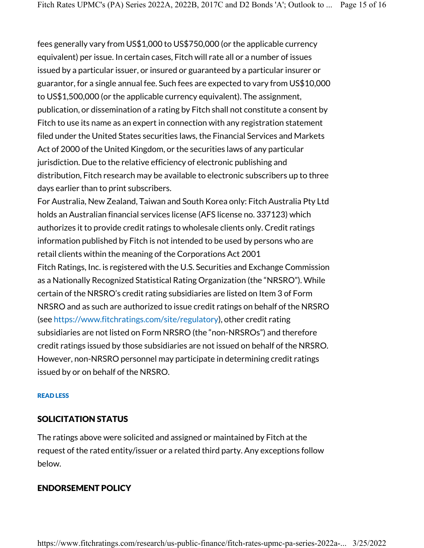fees generally vary from US\$1,000 to US\$750,000 (or the applicable currency equivalent) per issue. In certain cases, Fitch will rate all or a number of issues issued by a particular issuer, or insured or guaranteed by a particular insurer or guarantor, for a single annual fee. Such fees are expected to vary from US\$10,000 to US\$1,500,000 (or the applicable currency equivalent). The assignment, publication, or dissemination of a rating by Fitch shall not constitute a consent by Fitch to use its name as an expert in connection with any registration statement filed under the United States securities laws, the Financial Services and Markets Act of 2000 of the United Kingdom, or the securities laws of any particular jurisdiction. Due to the relative efficiency of electronic publishing and distribution, Fitch research may be available to electronic subscribers up to three days earlier than to print subscribers.

For Australia, New Zealand, Taiwan and South Korea only: Fitch Australia Pty Ltd holds an Australian financial services license (AFS license no. 337123) which authorizes it to provide credit ratings to wholesale clients only. Credit ratings information published by Fitch is not intended to be used by persons who are retail clients within the meaning of the Corporations Act 2001 Fitch Ratings, Inc. is registered with the U.S. Securities and Exchange Commission as a Nationally Recognized Statistical Rating Organization (the "NRSRO"). While certain of the NRSRO's credit rating subsidiaries are listed on Item 3 of Form NRSRO and as such are authorized to issue credit ratings on behalf of the NRSRO (see https://www.fitchratings.com/site/regulatory), other credit rating subsidiaries are not listed on Form NRSRO (the "non-NRSROs") and therefore credit ratings issued by those subsidiaries are not issued on behalf of the NRSRO. However, non-NRSRO personnel may participate in determining credit ratings issued by or on behalf of the NRSRO.

#### READ LESS

#### SOLICITATION STATUS

The ratings above were solicited and assigned or maintained by Fitch at the request of the rated entity/issuer or a related third party. Any exceptions follow below.

#### ENDORSEMENT POLICY